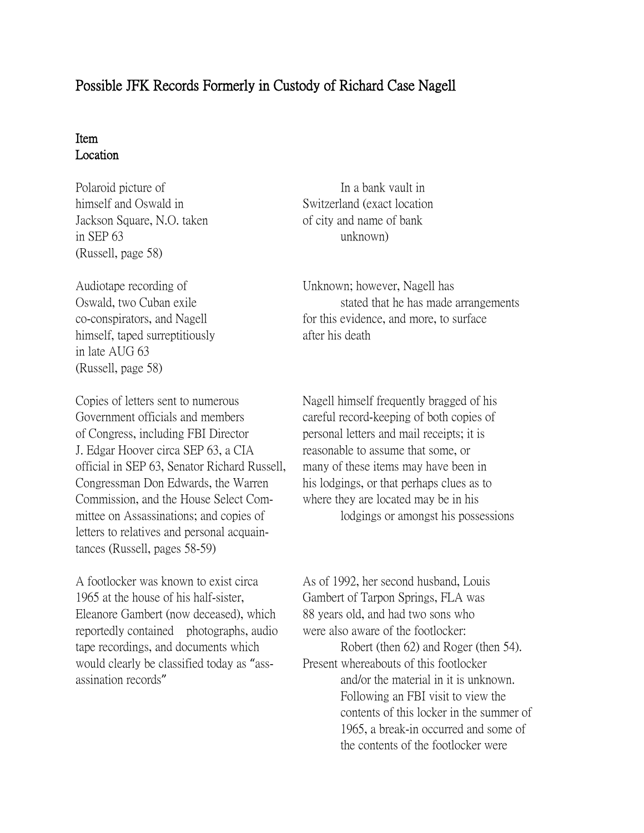## Possible JFK Records Formerly in Custody of Richard Case Nagell

## Item Location

Polaroid picture of In a bank vault in himself and Oswald in Switzerland (exact location Jackson Square, N.O. taken of city and name of bank in SEP 63 unknown) (Russell, page 58)

Audiotape recording of Unknown; however, Nagell has himself, taped surreptitiously after his death in late AUG 63 (Russell, page 58)

Government officials and members careful record-keeping of both copies of of Congress, including FBI Director personal letters and mail receipts; it is J. Edgar Hoover circa SEP 63, a CIA reasonable to assume that some, or official in SEP 63, Senator Richard Russell, many of these items may have been in Congressman Don Edwards, the Warren his lodgings, or that perhaps clues as to Commission, and the House Select Com- where they are located may be in his mittee on Assassinations; and copies of lodgings or amongst his possessions letters to relatives and personal acquaintances (Russell, pages 58-59)

A footlocker was known to exist circa As of 1992, her second husband, Louis 1965 at the house of his half-sister, Gambert of Tarpon Springs, FLA was Eleanore Gambert (now deceased), which 88 years old, and had two sons who reportedly contained photographs, audio were also aware of the footlocker: tape recordings, and documents which Robert (then 62) and Roger (then 54). would clearly be classified today as "ass-<br>
Present whereabouts of this footlocker

Oswald, two Cuban exile stated that he has made arrangements co-conspirators, and Nagell for this evidence, and more, to surface

Copies of letters sent to numerous Nagell himself frequently bragged of his

assination records" and/or the material in it is unknown. Following an FBI visit to view the contents of this locker in the summer of 1965, a break-in occurred and some of the contents of the footlocker were